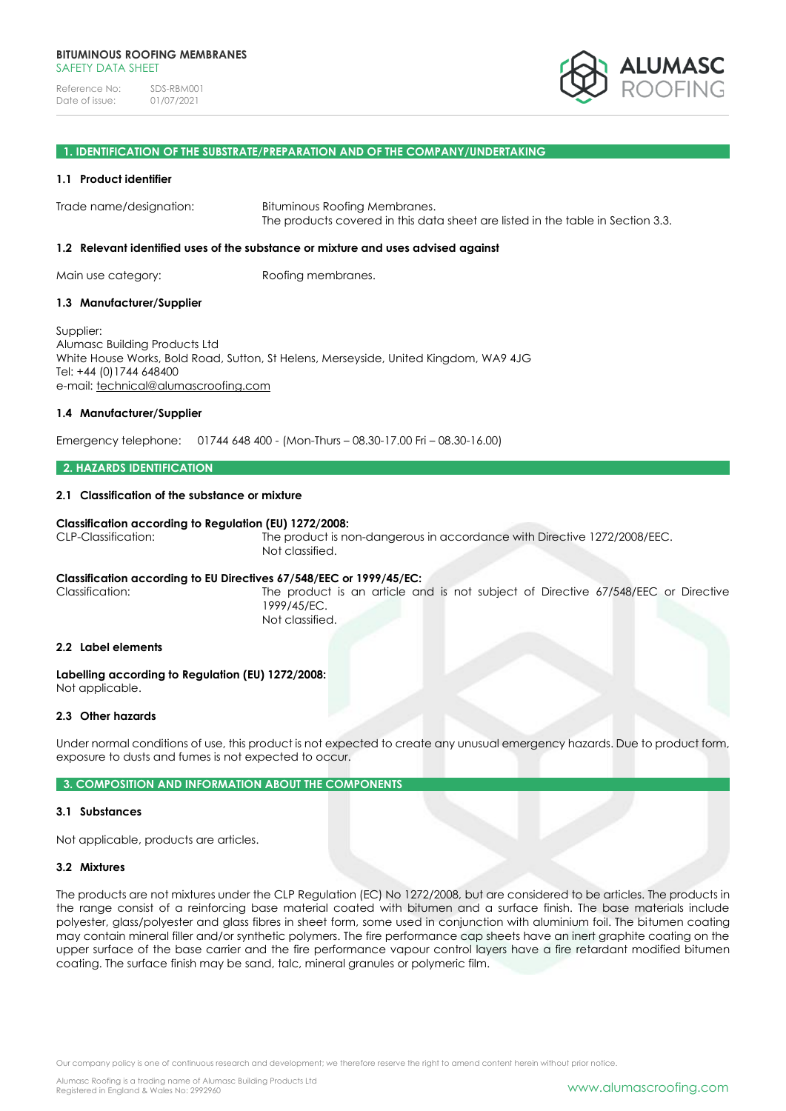

#### **1. IDENTIFICATION OF THE SUBSTRATE/PREPARATION AND OF THE COMPANY/UNDERTAKING**

#### **1.1 Product identifier**

Trade name/designation: Bituminous Roofing Membranes. The products covered in this data sheet are listed in the table in Section 3.3.

#### **1.2 Relevant identified uses of the substance or mixture and uses advised against**

Main use category: Roofing membranes.

#### **1.3 Manufacturer/Supplier**

Supplier: Alumasc Building Products Ltd White House Works, Bold Road, Sutton, St Helens, Merseyside, United Kingdom, WA9 4JG Tel: +44 (0)1744 648400 e-mail: [technical@alumascroofing.com](mailto:technical@alumascroofing.com)

#### **1.4 Manufacturer/Supplier**

Emergency telephone: 01744 648 400 - (Mon-Thurs – 08.30-17.00 Fri – 08.30-16.00)

# **2. HAZARDS IDENTIFICATION**

## **2.1 Classification of the substance or mixture**

#### **Classification according to Regulation (EU) 1272/2008:**

CLP-Classification: The product is non-dangerous in accordance with Directive 1272/2008/EEC. Not classified.

## **Classification according to EU Directives 67/548/EEC or 1999/45/EC:**

Classification: The product is an article and is not subject of Directive 67/548/EEC or Directive 1999/45/EC. Not classified.

#### **2.2 Label elements**

**Labelling according to Regulation (EU) 1272/2008:** Not applicable.

## **2.3 Other hazards**

Under normal conditions of use, this product is not expected to create any unusual emergency hazards. Due to product form, exposure to dusts and fumes is not expected to occur.

# **3. COMPOSITION AND INFORMATION ABOUT THE COMPONENTS**

## **3.1 Substances**

Not applicable, products are articles.

## **3.2 Mixtures**

The products are not mixtures under the CLP Regulation (EC) No 1272/2008, but are considered to be articles. The products in the range consist of a reinforcing base material coated with bitumen and a surface finish. The base materials include polyester, glass/polyester and glass fibres in sheet form, some used in conjunction with aluminium foil. The bitumen coating may contain mineral filler and/or synthetic polymers. The fire performance cap sheets have an inert graphite coating on the upper surface of the base carrier and the fire performance vapour control layers have a fire retardant modified bitumen coating. The surface finish may be sand, talc, mineral granules or polymeric film.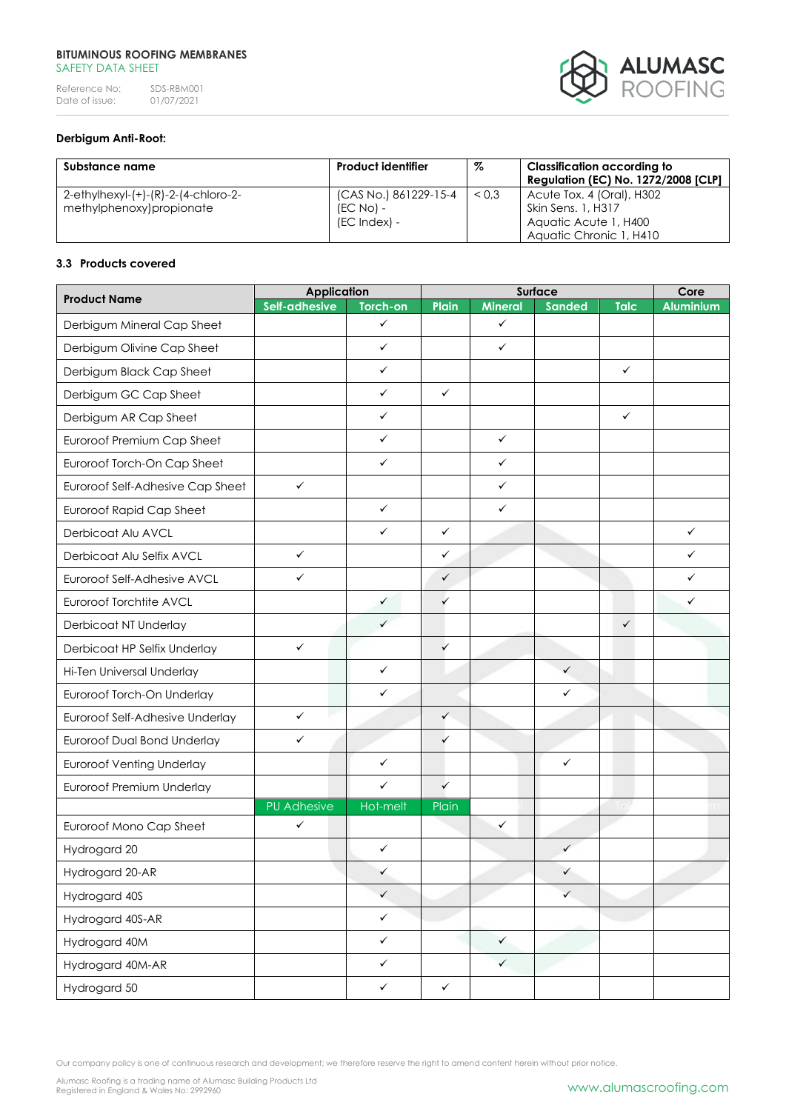# **BITUMINOUS ROOFING MEMBRANES** SAFETY DATA SHEET

Reference No: SDS-RBM001<br>Date of issue: 01/07/2021 Date of issue:



# **Derbigum Anti-Root:**

| Substance name                      | <b>Product identifier</b> | %     | <b>Classification according to</b><br><b>Regulation (EC) No. 1272/2008 [CLP]</b> |
|-------------------------------------|---------------------------|-------|----------------------------------------------------------------------------------|
| 2-ethylhexyl-(+)-(R)-2-(4-chloro-2- | (CAS No.) 861229-15-4     | < 0.3 | $\blacksquare$ Acute Tox. 4 (Oral), H302                                         |
| methylphenoxy)propionate            | $(EC NO) -$               |       | Skin Sens. 1, H317                                                               |
|                                     | (EC Index) -              |       | Aquatic Acute 1, H400                                                            |
|                                     |                           |       | Aquatic Chronic 1, H410                                                          |

# **3.3 Products covered**

| <b>Product Name</b>                | <b>Application</b> |              | Surface      |                |               | Core         |                  |
|------------------------------------|--------------------|--------------|--------------|----------------|---------------|--------------|------------------|
|                                    | Self-adhesive      | Torch-on     | Plain        | <b>Mineral</b> | <b>Sanded</b> | <b>Talc</b>  | <b>Aluminium</b> |
| Derbigum Mineral Cap Sheet         |                    | $\checkmark$ |              | $\checkmark$   |               |              |                  |
| Derbigum Olivine Cap Sheet         |                    | $\checkmark$ |              | ✓              |               |              |                  |
| Derbigum Black Cap Sheet           |                    | $\checkmark$ |              |                |               | $\checkmark$ |                  |
| Derbigum GC Cap Sheet              |                    | $\checkmark$ | $\checkmark$ |                |               |              |                  |
| Derbigum AR Cap Sheet              |                    | $\checkmark$ |              |                |               | $\checkmark$ |                  |
| Euroroof Premium Cap Sheet         |                    | $\checkmark$ |              | $\checkmark$   |               |              |                  |
| Euroroof Torch-On Cap Sheet        |                    | $\checkmark$ |              | ✓              |               |              |                  |
| Euroroof Self-Adhesive Cap Sheet   | $\checkmark$       |              |              | ✓              |               |              |                  |
| <b>Euroroof Rapid Cap Sheet</b>    |                    | $\checkmark$ |              | $\checkmark$   |               |              |                  |
| Derbicoat Alu AVCL                 |                    | $\checkmark$ | $\checkmark$ |                |               |              | $\checkmark$     |
| Derbicoat Alu Selfix AVCL          | $\checkmark$       |              | $\checkmark$ |                |               |              | $\checkmark$     |
| Euroroof Self-Adhesive AVCL        | $\checkmark$       |              | $\checkmark$ |                |               |              | $\checkmark$     |
| Euroroof Torchtite AVCL            |                    | ✓            | $\checkmark$ |                |               |              | $\checkmark$     |
| Derbicoat NT Underlay              |                    | $\checkmark$ |              |                |               | $\checkmark$ |                  |
| Derbicoat HP Selfix Underlay       | $\checkmark$       |              | $\checkmark$ |                |               |              |                  |
| Hi-Ten Universal Underlay          |                    | $\checkmark$ |              |                | $\checkmark$  |              |                  |
| Euroroof Torch-On Underlay         |                    | $\checkmark$ |              |                | $\checkmark$  |              |                  |
| Euroroof Self-Adhesive Underlay    | $\checkmark$       |              | $\checkmark$ |                |               |              |                  |
| <b>Euroroof Dual Bond Underlay</b> | $\checkmark$       |              | $\checkmark$ |                |               |              |                  |
| <b>Euroroof Venting Underlay</b>   |                    | $\checkmark$ |              |                | $\checkmark$  |              |                  |
| Euroroof Premium Underlay          |                    | $\checkmark$ | $\checkmark$ |                |               |              |                  |
|                                    | <b>PU Adhesive</b> | Hot-melt     | Plain        |                |               |              |                  |
| Euroroof Mono Cap Sheet            | ✓                  |              |              | ✓              |               |              |                  |
| Hydrogard 20                       |                    | ✓            |              |                | $\checkmark$  |              |                  |
| Hydrogard 20-AR                    |                    | ✓            |              |                | ✓             |              |                  |
| Hydrogard 40S                      |                    | $\checkmark$ |              |                | $\checkmark$  |              |                  |
| Hydrogard 40S-AR                   |                    | $\checkmark$ |              |                |               |              |                  |
| Hydrogard 40M                      |                    | $\checkmark$ |              | $\checkmark$   |               |              |                  |
| Hydrogard 40M-AR                   |                    | $\checkmark$ |              | $\checkmark$   |               |              |                  |
| Hydrogard 50                       |                    | $\checkmark$ | $\checkmark$ |                |               |              |                  |

Our company policy is one of continuous research and development; we therefore reserve the right to amend content herein without prior notice.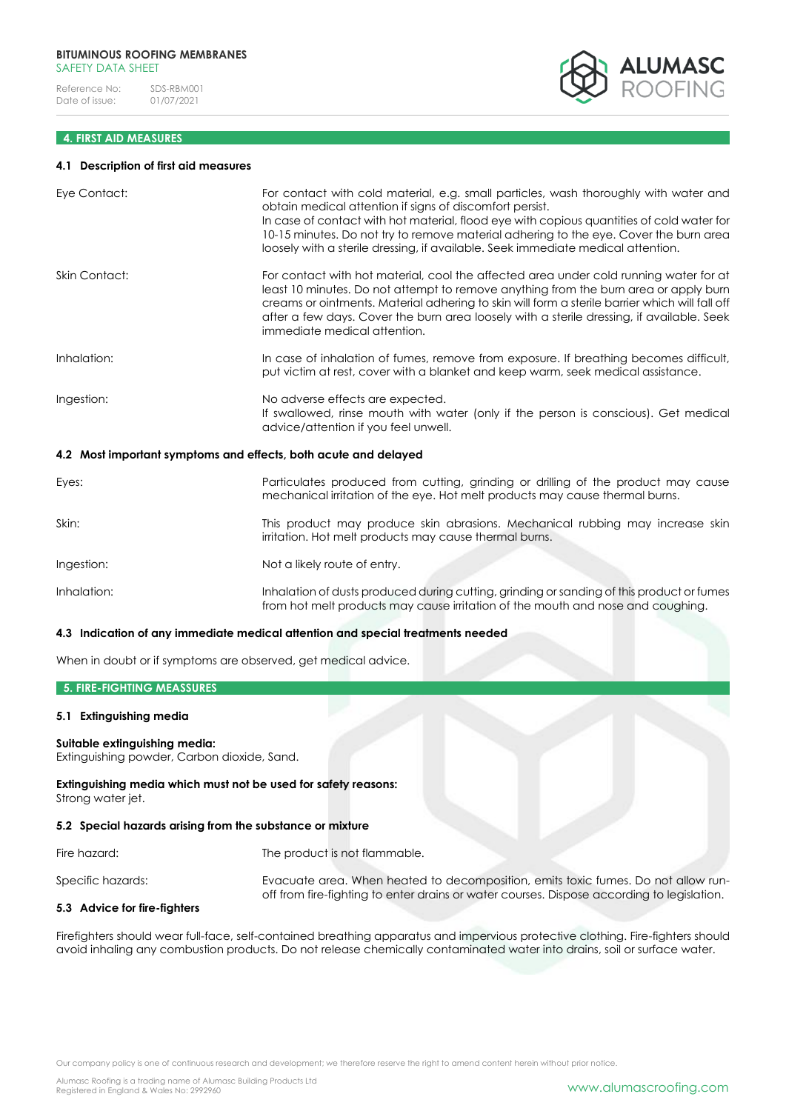# **4. FIRST AID MEASURES**

#### **4.1 Description of first aid measures**

| Eye Contact:                                                    | For contact with cold material, e.g. small particles, wash thoroughly with water and<br>obtain medical attention if signs of discomfort persist.<br>In case of contact with hot material, flood eye with copious quantities of cold water for<br>10-15 minutes. Do not try to remove material adhering to the eye. Cover the burn area<br>loosely with a sterile dressing, if available. Seek immediate medical attention. |
|-----------------------------------------------------------------|----------------------------------------------------------------------------------------------------------------------------------------------------------------------------------------------------------------------------------------------------------------------------------------------------------------------------------------------------------------------------------------------------------------------------|
| <b>Skin Contact:</b>                                            | For contact with hot material, cool the affected area under cold running water for at<br>least 10 minutes. Do not attempt to remove anything from the burn area or apply burn<br>creams or ointments. Material adhering to skin will form a sterile barrier which will fall off<br>after a few days. Cover the burn area loosely with a sterile dressing, if available. Seek<br>immediate medical attention.               |
| Inhalation:                                                     | In case of inhalation of fumes, remove from exposure. If breathing becomes difficult,<br>put victim at rest, cover with a blanket and keep warm, seek medical assistance.                                                                                                                                                                                                                                                  |
| Ingestion:                                                      | No adverse effects are expected.<br>If swallowed, rinse mouth with water (only if the person is conscious). Get medical<br>advice/attention if you feel unwell.                                                                                                                                                                                                                                                            |
| 4.2 Most important symptoms and effects, both acute and delayed |                                                                                                                                                                                                                                                                                                                                                                                                                            |
| Eyes:                                                           | Particulates produced from cutting, grinding or drilling of the product may cause<br>mechanical irritation of the eye. Hot melt products may cause thermal burns.                                                                                                                                                                                                                                                          |
| Skin:                                                           | This product may produce skin abrasions. Mechanical rubbing may increase skin<br>irritation. Hot melt products may cause thermal burns.                                                                                                                                                                                                                                                                                    |
| Ingestion:                                                      | Not a likely route of entry.                                                                                                                                                                                                                                                                                                                                                                                               |
| Inhalation:                                                     | Inhalation of dusts produced during cutting, grinding or sanding of this product or fumes<br>from hot melt products may cause irritation of the mouth and nose and coughing.                                                                                                                                                                                                                                               |

## **4.3 Indication of any immediate medical attention and special treatments needed**

When in doubt or if symptoms are observed, get medical advice.

# **5. FIRE-FIGHTING MEASSURES**

## **5.1 Extinguishing media**

# **Suitable extinguishing media:**

Extinguishing powder, Carbon dioxide, Sand.

**Extinguishing media which must not be used for safety reasons:** Strong water jet.

## **5.2 Special hazards arising from the substance or mixture**

Fire hazard: The product is not flammable.

Specific hazards: Evacuate area. When heated to decomposition, emits toxic fumes. Do not allow runoff from fire-fighting to enter drains or water courses. Dispose according to legislation.

# **5.3 Advice for fire-fighters**

Firefighters should wear full-face, self-contained breathing apparatus and impervious protective clothing. Fire-fighters should avoid inhaling any combustion products. Do not release chemically contaminated water into drains, soil or surface water.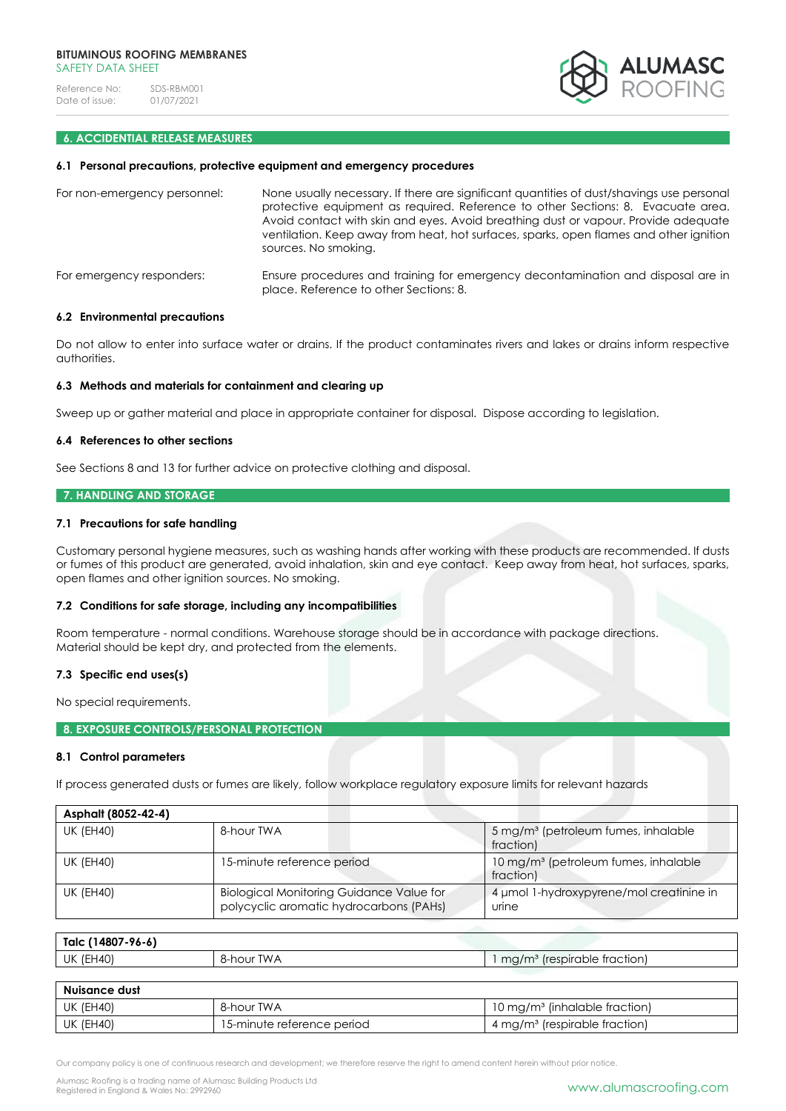

# **6. ACCIDENTIAL RELEASE MEASURES**

#### **6.1 Personal precautions, protective equipment and emergency procedures**

| For non-emergency personnel: | None usually necessary. If there are significant quantities of dust/shavings use personal<br>protective equipment as required. Reference to other Sections: 8. Evacuate area.<br>Avoid contact with skin and eyes. Avoid breathing dust or vapour. Provide adequate<br>ventilation. Keep away from heat, hot surfaces, sparks, open flames and other ignition<br>sources. No smoking. |  |  |  |
|------------------------------|---------------------------------------------------------------------------------------------------------------------------------------------------------------------------------------------------------------------------------------------------------------------------------------------------------------------------------------------------------------------------------------|--|--|--|
| For emergency responders:    | Ensure procedures and training for emergency decontamination and disposal are in<br>place. Reference to other Sections: 8.                                                                                                                                                                                                                                                            |  |  |  |

#### **6.2 Environmental precautions**

Do not allow to enter into surface water or drains. If the product contaminates rivers and lakes or drains inform respective authorities.

## **6.3 Methods and materials for containment and clearing up**

Sweep up or gather material and place in appropriate container for disposal. Dispose according to legislation.

## **6.4 References to other sections**

See Sections 8 and 13 for further advice on protective clothing and disposal.

#### **7. HANDLING AND STORAGE**

## **7.1 Precautions for safe handling**

Customary personal hygiene measures, such as washing hands after working with these products are recommended. If dusts or fumes of this product are generated, avoid inhalation, skin and eye contact. Keep away from heat, hot surfaces, sparks, open flames and other ignition sources. No smoking.

#### **7.2 Conditions for safe storage, including any incompatibilities**

Room temperature - normal conditions. Warehouse storage should be in accordance with package directions. Material should be kept dry, and protected from the elements.

## **7.3 Specific end uses(s)**

No special requirements.

# **8. EXPOSURE CONTROLS/PERSONAL PROTECTION**

## **8.1 Control parameters**

If process generated dusts or fumes are likely, follow workplace regulatory exposure limits for relevant hazards

| Asphalt (8052-42-4) |                                                                                            |                                                               |
|---------------------|--------------------------------------------------------------------------------------------|---------------------------------------------------------------|
| <b>UK (EH40)</b>    | 8-hour TWA                                                                                 | 5 mg/m <sup>3</sup> (petroleum fumes, inhalable<br>fraction)  |
| <b>UK (EH40)</b>    | 15-minute reference period                                                                 | 10 mg/m <sup>3</sup> (petroleum fumes, inhalable<br>fraction) |
| <b>UK (EH40)</b>    | <b>Biological Monitoring Guidance Value for</b><br>polycyclic aromatic hydrocarbons (PAHs) | 4 µmol 1-hydroxypyrene/mol creatinine in<br>urine             |

| Talc (14807-96-6) |                        |                                              |
|-------------------|------------------------|----------------------------------------------|
| <b>UK (EH40)</b>  | <b>TWA</b><br>8-hour l | ' (respirable traction)<br>mg/m <sup>3</sup> |

| Nuisance dust |                            |                                           |  |  |  |
|---------------|----------------------------|-------------------------------------------|--|--|--|
| UK (EH40)     | 8-hour TWA                 | 10 mg/m <sup>3</sup> (inhalable fraction) |  |  |  |
| UK (EH40)     | 15-minute reference period | 4 mg/m <sup>3</sup> (respirable fraction) |  |  |  |

Alumasc Roofing is a trading name of Alumasc Building Products Ltd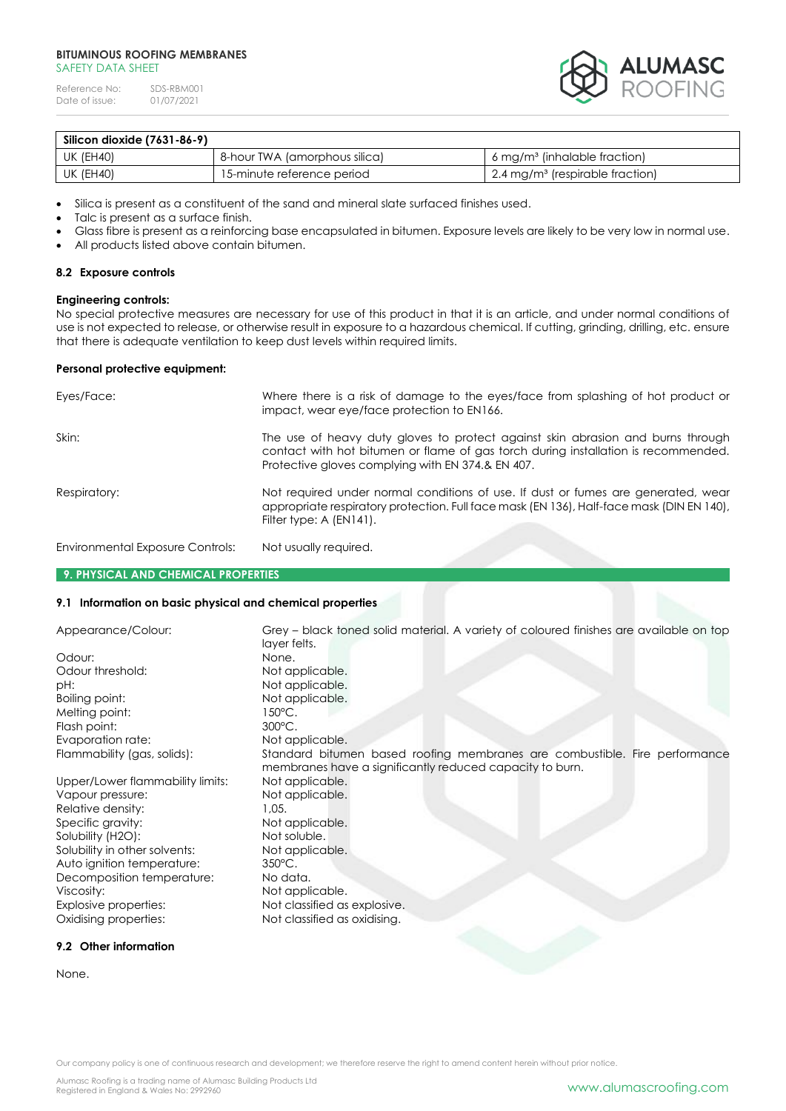## **BITUMINOUS ROOFING MEMBRANES** SAFFTY DATA SHFFT

Reference No: SDS-RBM001<br>Date of issue: 01/07/2021 Date of issue:



| Silicon dioxide (7631-86-9) |                               |                                                          |
|-----------------------------|-------------------------------|----------------------------------------------------------|
| UK (EH40)                   | 8-hour TWA (amorphous silica) | $6 \,\mathrm{mg/m^3}$ (inhalable fraction)               |
| UK (EH40)                   | 15-minute reference period    | $\frac{1}{2}$ .4 mg/m <sup>3</sup> (respirable fraction) |

• Silica is present as a constituent of the sand and mineral slate surfaced finishes used.

Talc is present as a surface finish.

- Glass fibre is present as a reinforcing base encapsulated in bitumen. Exposure levels are likely to be very low in normal use.
- All products listed above contain bitumen.

## **8.2 Exposure controls**

# **Engineering controls:**

No special protective measures are necessary for use of this product in that it is an article, and under normal conditions of use is not expected to release, or otherwise result in exposure to a hazardous chemical. If cutting, grinding, drilling, etc. ensure that there is adequate ventilation to keep dust levels within required limits.

#### **Personal protective equipment:**

| Eyes/Face:                       | Where there is a risk of damage to the eyes/face from splashing of hot product or<br>impact, wear eye/face protection to EN166.                                                                                            |
|----------------------------------|----------------------------------------------------------------------------------------------------------------------------------------------------------------------------------------------------------------------------|
| Skin:                            | The use of heavy duty gloves to protect against skin abrasion and burns through<br>contact with hot bitumen or flame of gas torch during installation is recommended.<br>Protective gloves complying with EN 374.& EN 407. |
| Respiratory:                     | Not required under normal conditions of use. If dust or fumes are generated, wear<br>appropriate respiratory protection. Full face mask (EN 136), Half-face mask (DIN EN 140),<br>Filter type: A (EN141).                  |
| Environmental Exposure Controls: | Not usually required.                                                                                                                                                                                                      |

#### **9. PHYSICAL AND CHEMICAL PROPERTIES**

#### **9.1 Information on basic physical and chemical properties**

| Appearance/Colour:               | Grey – black toned solid material. A variety of coloured finishes are available on top<br>layer felts. |
|----------------------------------|--------------------------------------------------------------------------------------------------------|
| Odour:                           | None.                                                                                                  |
| Odour threshold:                 | Not applicable.                                                                                        |
| pH:                              | Not applicable.                                                                                        |
| Boiling point:                   | Not applicable.                                                                                        |
| Melting point:                   | 150°C.                                                                                                 |
| Flash point:                     | 300°C.                                                                                                 |
| Evaporation rate:                | Not applicable.                                                                                        |
| Flammability (gas, solids):      | Standard bitumen based roofing membranes are combustible. Fire performance                             |
|                                  | membranes have a significantly reduced capacity to burn.                                               |
| Upper/Lower flammability limits: | Not applicable.                                                                                        |
| Vapour pressure:                 | Not applicable.                                                                                        |
| Relative density:                | 1.05.                                                                                                  |
| Specific gravity:                | Not applicable.                                                                                        |
| Solubility (H2O):                | Not soluble.                                                                                           |
| Solubility in other solvents:    | Not applicable.                                                                                        |
| Auto ignition temperature:       | $350^{\circ}$ C.                                                                                       |
| Decomposition temperature:       | No data.                                                                                               |
| Viscosity:                       | Not applicable.                                                                                        |
| Explosive properties:            | Not classified as explosive.                                                                           |
| Oxidising properties:            | Not classified as oxidising.                                                                           |

# **9.2 Other information**

None.

Our company policy is one of continuous research and development; we therefore reserve the right to amend content herein without prior notice.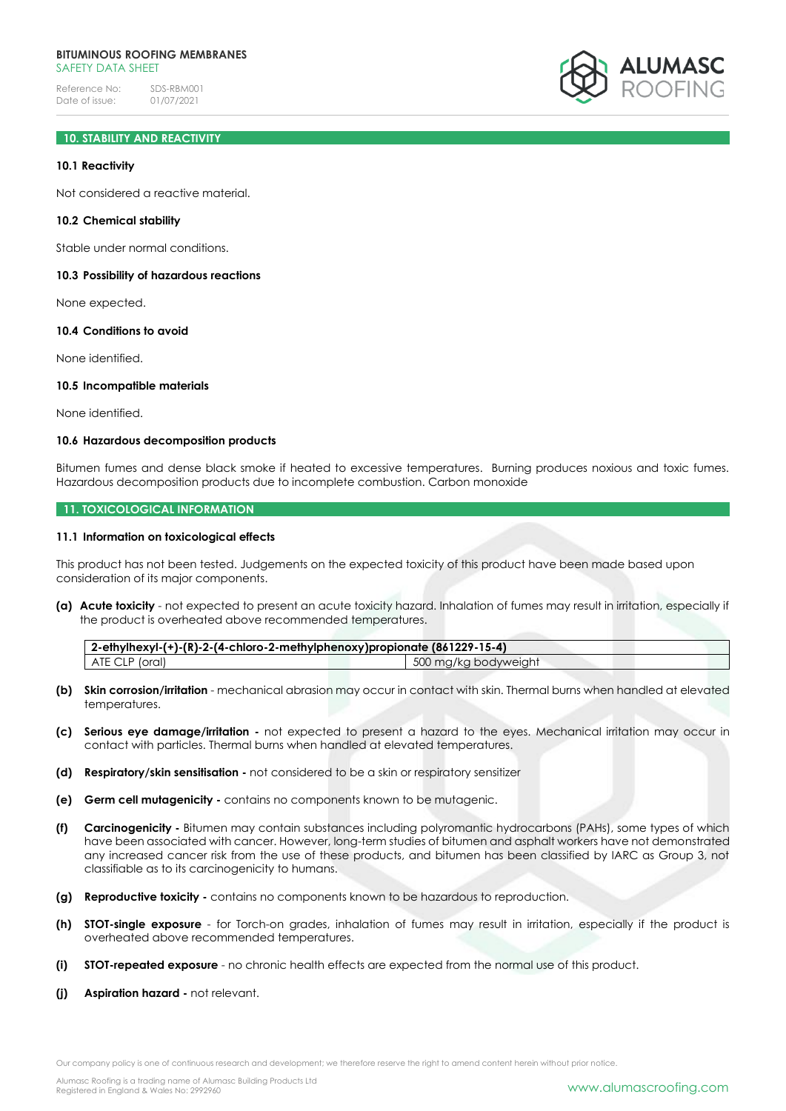# **10. STABILITY AND REACTIVITY**

## **10.1 Reactivity**

Not considered a reactive material.

#### **10.2 Chemical stability**

Stable under normal conditions.

#### **10.3 Possibility of hazardous reactions**

None expected.

#### **10.4 Conditions to avoid**

None identified.

# **10.5 Incompatible materials**

None identified.

## **10.6 Hazardous decomposition products**

Bitumen fumes and dense black smoke if heated to excessive temperatures. Burning produces noxious and toxic fumes. Hazardous decomposition products due to incomplete combustion. Carbon monoxide

## **11. TOXICOLOGICAL INFORMATION**

#### **11.1 Information on toxicological effects**

This product has not been tested. Judgements on the expected toxicity of this product have been made based upon consideration of its major components.

**(a) Acute toxicity** - not expected to present an acute toxicity hazard. Inhalation of fumes may result in irritation, especially if the product is overheated above recommended temperatures.

**2-ethylhexyl-(+)-(R)-2-(4-chloro-2-methylphenoxy)propionate (861229-15-4)** ATE CLP (oral) **500 mg/kg bodyweight** 6 and 500 mg/kg bodyweight

- **(b) Skin corrosion/irritation**  mechanical abrasion may occur in contact with skin. Thermal burns when handled at elevated temperatures.
- **(c) Serious eye damage/irritation -** not expected to present a hazard to the eyes. Mechanical irritation may occur in contact with particles. Thermal burns when handled at elevated temperatures.
- **(d) Respiratory/skin sensitisation -** not considered to be a skin or respiratory sensitizer
- **(e) Germ cell mutagenicity -** contains no components known to be mutagenic.
- **(f) Carcinogenicity -** Bitumen may contain substances including polyromantic hydrocarbons (PAHs), some types of which have been associated with cancer. However, long-term studies of bitumen and asphalt workers have not demonstrated any increased cancer risk from the use of these products, and bitumen has been classified by IARC as Group 3, not classifiable as to its carcinogenicity to humans.
- **(g) Reproductive toxicity -** contains no components known to be hazardous to reproduction.
- **(h) STOT-single exposure**  for Torch-on grades, inhalation of fumes may result in irritation, especially if the product is overheated above recommended temperatures.
- **(i) STOT-repeated exposure**  no chronic health effects are expected from the normal use of this product.
- **(j) Aspiration hazard -** not relevant.

Our company policy is one of continuous research and development; we therefore reserve the right to amend content herein without prior notice.

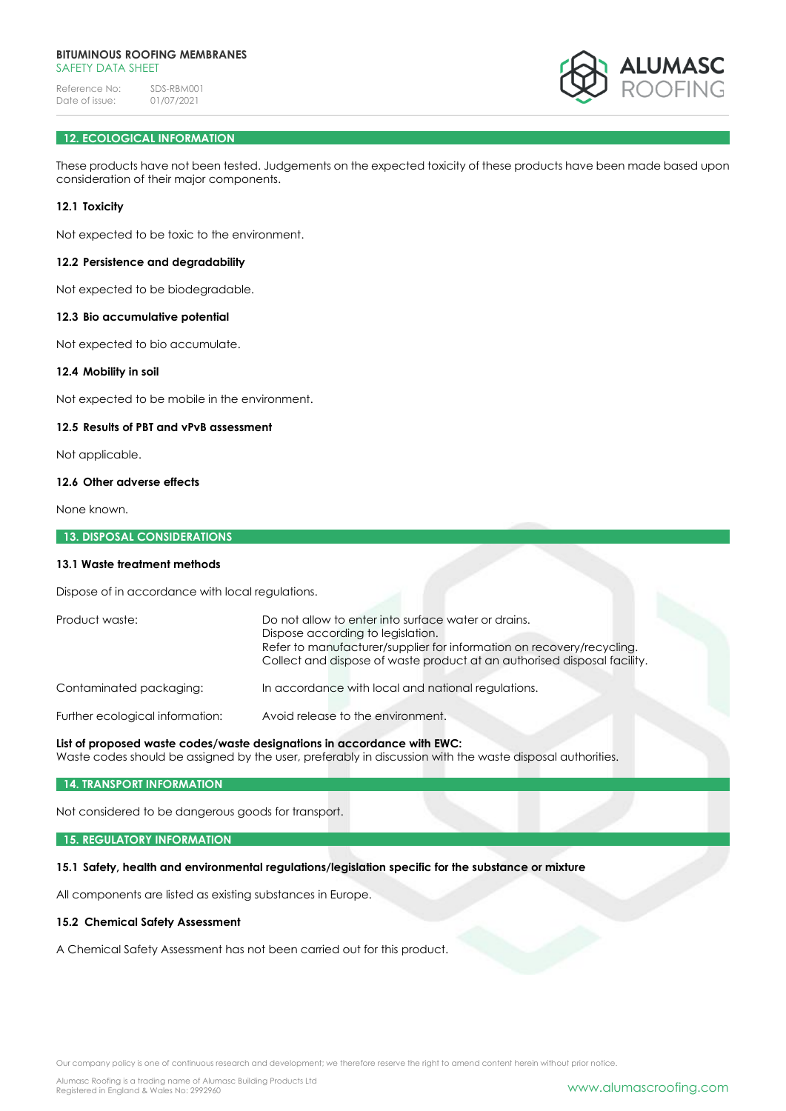

# **12. ECOLOGICAL INFORMATION**

These products have not been tested. Judgements on the expected toxicity of these products have been made based upon consideration of their major components.

# **12.1 Toxicity**

Not expected to be toxic to the environment.

## **12.2 Persistence and degradability**

Not expected to be biodegradable.

## **12.3 Bio accumulative potential**

Not expected to bio accumulate.

# **12.4 Mobility in soil**

Not expected to be mobile in the environment.

## **12.5 Results of PBT and vPvB assessment**

Not applicable.

## **12.6 Other adverse effects**

None known.

#### **13. DISPOSAL CONSIDERATIONS**

# **13.1 Waste treatment methods**

Dispose of in accordance with local regulations.

| Product waste:                  | Do not allow to enter into surface water or drains.<br>Dispose according to legislation.<br>Refer to manufacturer/supplier for information on recovery/recycling.<br>Collect and dispose of waste product at an authorised disposal facility. |  |  |
|---------------------------------|-----------------------------------------------------------------------------------------------------------------------------------------------------------------------------------------------------------------------------------------------|--|--|
| Contaminated packaging:         | In accordance with local and national regulations.                                                                                                                                                                                            |  |  |
| Further ecological information: | Avoid release to the environment.                                                                                                                                                                                                             |  |  |

# **List of proposed waste codes/waste designations in accordance with EWC:**

Waste codes should be assigned by the user, preferably in discussion with the waste disposal authorities.

#### **14. TRANSPORT INFORMATION**

Not considered to be dangerous goods for transport.

#### **15. REGULATORY INFORMATION**

## **15.1 Safety, health and environmental regulations/legislation specific for the substance or mixture**

All components are listed as existing substances in Europe.

## **15.2 Chemical Safety Assessment**

A Chemical Safety Assessment has not been carried out for this product.